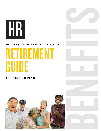# HR

# UNIVERSITY OF CENTRAL FLORIDA

# RETIREMENT GUIDE

### FRS PENSION PLAN



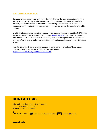#### **RETIRING FROM UCF**

Considering retirement is an important decision. Having the necessary retiree benefits information is a critical part of the decision-making process. This guide is intended to provide you with the relevant information concerning retirement from UCF and will enhance your understanding of the retirement process as well as the benefits offered to retirees.

In addition to reading through this guide, we recommend that you contact the UCF Human Resources Benefits Section at 407.823.2771 or **[Benefits@ucf.edu](mailto:Benefits@ucf.edu)** to schedule a meeting with a member of the Benefits team, who will guide you through the entire retirement process. We will help to make your transition easy and ensure that you retire with peace of mind.

To determine which Benefits team member is assigned to your college/department, reference the Human Resource Point of Contact list here: [https://hr.ucf.edu/files/Points-of-Contact.pdf.](https://hr.ucf.edu/files/Points-of-Contact.pdf)

# CONTACT US

Office of Human Resources | Benefits Section 3280 Progress Drive, Suite 100 Orlando, Florida 32826-2912



#### hr.ucf.edu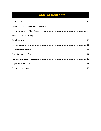# **Table of Contents**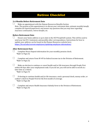# Retiree Checklist

#### **3-6 Months Before Retirement Date**

Make an appointment with the Human Resources Benefits Section *Note: The purpose of this appointment is to discuss your retirement date, estimate monthly benefit, complete all required paperwork, and answer any questions that you may have regarding insurance continuation, retiree benefits, etc.*

#### **Before Retirement Date**

Ensure your home address is up to date in the UCF PeopleSoft system. This will be used to send your last W-2 statement, and possibly other correspondence. Instructions for how to update your address can be found on the Human Resources website here: [https://hr.ucf.edu/current-employees/updating-employee-information/.](https://hr.ucf.edu/current-employees/updating-employee-information/)

#### **After Retirement Date**

 $\Box$ 

 $\Box$ 

Complete Direct Deposit information for your monthly pension check. *\*Refer to Page (5)*

Complete and return Form W-4P for federal income tax to the Division of Retirement. *\*Refer to Page (5)*

Make an election to continue or cancel health and/or life insurance through People First within 60 days after your employment ends. If you do not, you will not be able to enroll at a later time as a retiree.

*\*Refer to Page (7)*

If electing to continue health and/or life insurance, send a personal check, money order, or cashier's check to People First for the first month of coverage. *\*Refer to Page (8)*

Complete and return Health Insurance Subsidy form to the Division of Retirement. *\*Refer to Page (9)*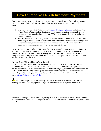# How to Receive FRS Retirement Payments

Florida law requires your benefit payments to be direct deposited to your financial institution. Exceptions may only be made for hardships. There are two ways that you can sign up for direct deposit:

- 1) Log into your secure FRS Online account [\(https://frs.fl.gov/login.aspx\)](https://frs.fl.gov/login.aspx) and click on the "Direct Deposit Authorization" link to enter your bank information and complete your request. Requests submitted through your FRS Online account will be processed within 7- 10 business days.
- 2) A Direct Deposit Authorization (Form DFS-A1-26R) will be included in the Retiree Packet mailed to you by the Division of Retirement after your name is added to the retired payroll. Direct deposit of your retirement benefit begins approximately 4-6 weeks after the Department of Financial Services receives the completed form.

For service years prior to July 1, 2011, you will receive a cost-of-living increase on July 1 of each year. The increase will be included in the benefit payment you receive at the end of July. The increase is based on the June benefit, excluding the health insurance subsidy. Your first cost-ofliving increase will be prorated based on the number of months you have been retired if you have not been retired for a full year.

#### **Having Taxes Withheld from Your Benefit**

Under federal law, the Division of Retirement (DOR) withholds federal income tax from your retirement benefit based on the taxable amount of your benefit. Your withholding deduction is determined in compliance with the Internal Revenue Service (IRS) guidelines until you instruct the DOR to withhold differently by changing your withholding from your FRS Online account or submitting a Withholding Certificate for Pension Payments form (Form W-4P) which can be found here: [https://frs.fl.gov/forms/W-4P.pdf.](https://frs.fl.gov/forms/W-4P.pdf) 

Until you change your tax withholding, the DOR is required to withhold taxes from your monthly retirement benefit payment as if you are married and claiming three allowances.

The DOR will mail you a Form 1099-R in January of each year. Your annual taxable income will be shown in the taxable amount box on your Form 1099-R. This form should be filed with your income tax return.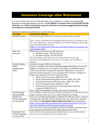# Insurance Coverage after Retirement

As a retiree of the University of Central Florida, you are eligible to continue your state health insurance and basic life insurance benefits. **To be eligible to continue State Group health and life insurance as a retiree, you must be insured at the time of retirement and immediately begin receiving your retirement benefit**.

Summary of options to continue your current coverage:

| <b>Coverage</b>                                                                    | <b>Continuation Options</b>                                                  |  |
|------------------------------------------------------------------------------------|------------------------------------------------------------------------------|--|
| Health Insurance                                                                   | Continue through COBRA for 18 months or elect retiree coverage.              |  |
|                                                                                    |                                                                              |  |
|                                                                                    | Note: A lower cost Medicare advantage health plan may be available to you.   |  |
|                                                                                    | For more information, contact People First or visit the Medicare Advantage   |  |
|                                                                                    | page of the MyBenefits website                                               |  |
|                                                                                    | (https://www.mybenefits.myflorida.com/health/medicare advantage and          |  |
|                                                                                    | prescription drug).                                                          |  |
| <b>Basic Life</b>                                                                  | Retirees have two options for life insurance:                                |  |
| Insurance                                                                          | 1) $$2,500$ coverage = \$5.32/month; or                                      |  |
|                                                                                    | 2) $$10,000 coverage = $21.26/month$                                         |  |
|                                                                                    | The value of the policy will never be reduced based on your age.             |  |
|                                                                                    | Please note that Optional Life Insurance coverage is not available to        |  |
|                                                                                    | retirees.                                                                    |  |
| Dental & Vision                                                                    | Continue through COBRA for 18 months.                                        |  |
| <b>Other</b>                                                                       | If you are enrolled in any of the following supplemental plans, you may be   |  |
| Supplemental                                                                       | eligible to continue your coverage by converting to an individual policy.    |  |
| Plans                                                                              | Contact the insurance company for premium information. You may be            |  |
|                                                                                    | placed on a direct pay plan or you can request the insurance company to      |  |
|                                                                                    | deduct your premiums from your pension check.                                |  |
|                                                                                    | AFLAC Cancer Insurance: (800) 780-3100                                       |  |
|                                                                                    | AFLAC Supplemental Hospital Insurance: (800) 780-3100                        |  |
|                                                                                    | Colonial Accident/Disability Insurance: (800) 325-4368                       |  |
|                                                                                    | New Era Hospital Income: (800) 277-2300                                      |  |
|                                                                                    | Life Insurance/Long Term Care (through Gabor Financial                       |  |
|                                                                                    | Solutions): (800) 330-6115                                                   |  |
|                                                                                    | Note: Long Term Disability coverage will cease at termination.               |  |
| <b>Health Savings</b>                                                              | You can make contributions until enrolled in Medicare, but the State will no |  |
| Account (HSA)                                                                      | longer contribute after you are enrolled in Medicare coverage.               |  |
| <b>Health Care</b>                                                                 | If you are currently participating in a Health Care FSA and wish to continue |  |
| <b>Flexible Spending</b>                                                           | it through the end of the current calendar year, you will need to complete   |  |
| and submit the FSA Options When Employment Ends form (found here:<br>Account (FSA) |                                                                              |  |
|                                                                                    | https://www.mybenefits.myflorida.com/content/download/113221/627             |  |
|                                                                                    | 961/2015 MRAOptionsWhenEmploymentEnds EY.pdf).                               |  |
|                                                                                    | Note: UCF does not permit employees to have FSA balance paid from leave      |  |
|                                                                                    | accrual payout as indicated by one of the options on the form.               |  |
| Dependent Care                                                                     | Ends with your last employee payroll deduction, but you can file claims      |  |
| <b>Flexible Spending</b>                                                           | that were incurred before your termination date.                             |  |
| Account (FSA)                                                                      |                                                                              |  |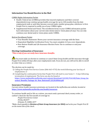#### **Information You Should Receive in the Mail**

COBRA Rights Information Packet

- Health: Federal law (COBRA) provides that insured employees and their covered dependent(s) may continue group health coverage for up to (18) months from the date employment ends or until they become covered under another group plan, whichever is first. People First is required to notify you of your COBRA rights.
- Supplemental Dental and Vision: The enrollment forms in your COBRA information packet have information about your current state dental and/or vision plans (if any). You can only continue your dental and/or vision plans under COBRA.

#### Retiree Enrollment Packet

- Your Benefits Statement: Shows your current insurance coverage with the State.
- Dependent Eligibility Certification Form: You must complete it if you cover dependents.
- New Retiree Health and Life Insurance Election Form: Use to continue or end your coverage.

#### **Electing Continuation of Insurance**

*\*This is only if you currently have insurance benefits.*

 $\bigwedge$  You must make an election to continue or cancel State Group health and life insurance through People First within 60 days after your employment ends. If you do not, you will not be able to enroll at a later time as a retiree.

The election can be made by:

- 1) Calling the People First Service Center (866-663-4735) the week following your last day of employment; or
- 2) Completing the continuation forms that People First will mail to your home 3 5 days following termination of employment. The form can also be found at https://www.mybenefits.myflorida.com/content/download/142182/916148/State Group Ins urance Benefits Package for New Retirees07.20.2018Web.pdf.

#### **Insurance Premiums**

Current retiree health insurance premiums are located at the myflorida.com website, located at [https://www.mybenefits.myflorida.com/health/resources.](https://www.mybenefits.myflorida.com/health/resources)

To continue health and/or life as a retiree, you must send a personal check, money order, or cashier's check for the first month of coverage to:

*People First Service Center PO Box 863477 Orlando, FL 32886-3477*

*\*Make check payable to Division of State Group Insurance (or DSGI) and write your People First ID on the memo line of the check.*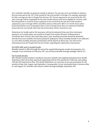As a reminder, benefits are paid one month in advance. You can pay up to six months in advance, but you must pay by the  $10<sup>th</sup>$  of the month for the next month's coverage. For example, payments for July coverage are due to People First by June  $10<sup>th</sup>$ . If your payment is not received by the  $10<sup>th</sup>$ , your coverage will be suspended for the next month and you will not be eligible for services until the full payment is received. If your payment is not received by the last day of the month in suspension, your coverage will be cancelled, and you will not be able to re-enroll. If you mail a form/check before your termination date is sent to People First, they are required to hold the form/check for one month. After that, the form/check will be returned to you.

Deductions for health and/or life insurance will not be deducted from your first retirement payment, as it usually takes one month for People First and the Division of Retirement to coordinate their records. Once that takes place, your monthly premiums should be deducted directly from your monthly retirement payment. Employees whose monthly benefit is not sufficient to cover their monthly insurance premium(s) will be placed on direct pay. You will receive information from the People First Service Center regarding the submission of premiums.

#### For USPS, A&P, and 12-month Faculty

Benefits remain in effect through the end of the month following the month of termination. For example, if you terminate on February 20<sup>th</sup>, you will have benefits through midnight, March  $31^{st}$ .

#### For 9-month Faculty

All 9-Month Faculty members enrolled in insurance (health and supplemental plans) have double deductions taken from their paychecks beginning with the first paycheck in February and ending with the first paycheck in May. The double deductions are necessary to pre-pay premiums for the months of June, July, August, and September. Consequently, if your termination date is between May 6th and August 31st, benefits will remain in effect through midnight, September 30th.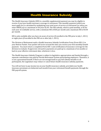# Health Insurance Subsidy

The Health Insurance Subsidy (HIS) is a monthly supplemental payment you may be eligible to receive if you have health insurance coverage in retirement. This monthly payment (which you must apply for) is calculated by multiplying your total years of service at retirement (or when you enter DROP) up to a maximum of 30 years by \$5. The HIS subsidy, which is paid monthly, is \$5 for each year of creditable service, with a minimum HIS of \$30 per month and a maximum HIS of \$150 per month.

HIS is only available after you have six years of service (if enrolled in the FRS prior to July 1, 2011) or eight years (if enrolled in the FRS on or after July 1, 2011).

The Division of Retirement mails a Health Insurance Subsidy Certification Form (Form HIS-1) in your Retiree Packet*.* Your packet will arrive around the time you receive your first monthly benefit payment. You must return a completed Form HIS-1 and certification of insurance coverage for the division to evaluate. If approved, retroactive payments are paid up to a maximum of six months or back to your effective retirement date, whichever is less.

The Health Insurance Subsidy Program is subject to legislative appropriation and funded through a separate contribution rate paid by Florida Retirement System participating employers. Therefore, it is not a guaranteed benefit. If there are not enough funds to pay full subsidy benefits to all participants, the Legislature may reduce or cancel future health insurance subsidy payments.

You will not have to pay income tax on your health insurance subsidy, provided your health insurance premiums are deducted each month from your retirement benefit payments through the FRS payroll system.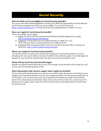# Social Security

#### **How do I find out if I am eligible for Social Security benefits?**

You can use the online Benefit Eligibility Screening Tool (BEST) to help identify all of the different Social Security programs for which you may be eligible. To access the tool, go to https://ssabest.benefits.gov/ or call the Social Security Administration at 1-800-772-1213.

#### **How can I apply for Social Security benefits?**

There are multiple ways to apply:

- 1) Online: Use the Social Security Retirement/Medicare Benefit Application to apply: [http://socialsecurity.gov/retireonline/.](http://socialsecurity.gov/retireonline/)
- 2) Telephone: Call the Social Security Administration at 1-800-772-1213. *\*Note: If you are deaf or hearing impaired, call 1-800-325-0778.*
- 3) In-Person: Make an appointment to visit your local Social Security office. Locations are listed here: [http://www.socialsecurity.gov/locator.](http://www.socialsecurity.gov/locator)

#### **When can I apply for Social Security benefits?**

You must be at least 61 years and 9 months old to apply for Social Security benefits. If you are already age 62, you may be able to start your benefits in the month you apply. You should apply for benefits no more than four months before the date you want your benefits to start.

#### **When will my Social Security benefits begin?**

Benefits are paid the month after they are due. For example, if your benefits start in April, you will receive your first benefit payment in May.

#### **What information will I need to supply when I apply for benefits?**

The Social Security Administration may ask you to provide certain documents to show that you are eligible and to help them decide how much your benefits should be. The documents include but are not limited to: your social security card, your original birth certificate (or other proof of birth), proof of U.S. citizenship (or lawful alien status if you were not born in the U.S.), a copy of your U.S. military service papers, and a copy of your W-2 form(s) and/or self-employment tax return from the previous year.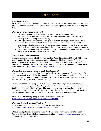# **Medicare**

#### **What is Medicare?**

Medicare is our country's health insurance program for people age 65 or older. The program helps with the cost of health care, but it does not cover all medical expenses or the cost of most long-term care.

#### **What types of Medicare are there?**

- 1) **Part A** is hospitalization coverage free to eligible Medicare beneficiaries.
- 2) **Part B** is medical coverage that requires a monthly premium (taken from your Social Security check or paid by personal check).
- 3) **Part C** (Medicare Advantage Plan) is a type of Medicare health plan offered by a private company that contracts with Medicare to provide you with all of your Part A and Part B benefits and often includes prescription drug coverage. You must be enrolled in Medicare Part B and you may also be required to send a monthly premium to the insurance company.
- 4) **Part D** is prescription drug coverage that may require a monthly premium (taken from your Social Security check or paid by personal check).

#### **How can I enroll in Medicare?**

Once you retire and become eligible for Medicare Part A and B (due to age (65) or disability), you should contact the Social Security Administration about your Medicare benefits. Enrollment in Medicare is time sensitive and you may be subject to substantial financial penalties if you fail to meet federal deadlines. You can use the Social Security Administration's online application to sign up for Medicare[: http://www.socialsecurity.gov/medicareonly/.](http://www.socialsecurity.gov/medicareonly/)

#### **What is the timeframe I have to apply for Medicare?**

Your initial enrollment period in Part A and/or Part B is the three months before you turn 65 (64 years and 9 months) through the three months after you turn 65 (65 years and 3 months). If you do not sign up during your initial enrollment period, you can sign up between January 1 – March 31 each year. There may be a late enrollment penalty.

If you're covered under a group health plan based on current employment, you have a Special Enrollment Period to sign up for Part A and/or Part B at any time as long as you or your spouse (or family member if you're disabled) is working, and you're covered by a group health plan through the employer based on that work. If you enroll during a Special Enrollment Period, your Medicare coverage typically begins the month after Social Security gets your completed request.

For more information regarding the Special Enrollment Period, visit [https://www.ssa.gov/hlp/isba/10/hlp-med003-partb2.htm.](https://www.ssa.gov/hlp/isba/10/hlp-med003-partb2.htm) 

#### **What are the basic costs of Medicare?**

All price information for the different Medicare plans are located at: <http://www.medicare.gov/your-medicare-costs/index.html>

#### **Where can I get more information on Medicare and everything it has to offer?**

Additional information on Medicare can be found online a[t http://www.medicare.gov](http://www.medicare.gov/) or you can call Medicare at 1-800-633-4227.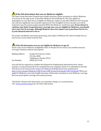# **If the SSA determines that you are Medicare eligible:**

The State Group Insurance Program pays health insurance claims secondary to (after) Medicare, even if you do not sign up for or purchase Medicare Part B (Medical). This also applies to dependents on your plan who are eligible for Medicare. Failure to purchase Medicare Part B means you will have significant out-of-pocket expenses for Part B eligible services, because you will be required to pay the portion (approximately 80%) that Medicare would have paid. **If you choose to continue your State Group Insurance coverage once you are eligible for Medicare, you should elect your Part B coverage. Although Medicare does not require you to purchase Part B, it is in your financial interest to do so.**

For proper enrollment and claims processing, send copies of Medicare ID cards to People First as soon as you receive them from the SSA.

#### **If the SSA determines you are not eligible for Medicare at age 65:**

Send a copy of your Medicare ineligibility letter to People First to ensure your health insurance coverage continues without interruption.

| Mailing Address: | People First Service Center |
|------------------|-----------------------------|
|                  | P.O. Box 6830               |
|                  | Tallahassee, Florida 32314  |
| Fax Number:      | $(800)$ 422-3128            |

You will also be required to complete the Request for Employment Information form, which includes a section (Section B) to be completed by your employer before it is submitted to the SSA. This form can be found on the Centers for Medicare & Medicaid Services website here: [http://www.cms.gov/Medicare/CMS-Forms/CMS-Forms/Downloads/CMS-L564E.pdf.](http://www.cms.gov/Medicare/CMS-Forms/CMS-Forms/Downloads/CMS-L564E.pdf) When you apply for Medicare, your state health insurance will become secondary to your Medicare coverage but your prescription coverage will remain primary.

*\*Disclaimer: Because this information can sometimes change, we recommend you visit [www.socialsecurity.gov](https://nam02.safelinks.protection.outlook.com/?url=http%3A%2F%2Fwww.socialsecurity.gov&data=02%7C01%7CAshley.Longoria%40ucf.edu%7Cc0bc269ebbe24c10b84a08d75bd6cb37%7Cbb932f15ef3842ba91fcf3c59d5dd1f1%7C0%7C1%7C637078850402008518&sdata=owQWxMk4B6ryfnyKC0REuFBRuADPVLMc%2F3DbOQ0u9q8%3D&reserved=0) for the latest information.*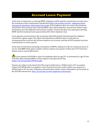# Accrued Leave Payment

At the time of retirement or entering DROP, employees will be paid for annual leave accruals up to the maximum of their employment classification [\(http://hr.ucf.edu/current-](http://hr.ucf.edu/current-employees/leave-and-general-attendance-information/#accruals) [employees/leave](http://hr.ucf.edu/current-employees/leave-and-general-attendance-information/#accruals)[and-general-attendance-information/#accruals\)](http://hr.ucf.edu/current-employees/leave-and-general-attendance-information/#accruals). If the employee does not receive the maximum annual leave hours payout upon entering DROP, they will be paid their annual leave balance upon termination up to the difference between the number of hours that they were paid upon entering DROP and the maximum hours payout allowed for their employee class.

Leave payouts are processed on the second pay date following the last paycheck the employee received for regular wages. This allows the department sufficient time to verify that no overpayment has occurred, that all leave balances are accurate, and that all UCF property has been returned prior to a leave payout.

At the time of retirement (including termination of DROP), employees with ten continuous years of service with **UCF** will be paid a number of hours equal to one quarter of their post 1973 sick leave balance (not to exceed 480 hours).

Leave payouts of \$10,000 or more for employees that are age 55+ at retirement (or age 59 and 4 months upon entering DROP), will be subject to the Special Pay Plan [\(https://hr.ucf.edu/files/SPP401a.pdf\)](https://hr.ucf.edu/files/SPP401a.pdf).

Payouts not subject to the Special Pay Plan may be deferred to a 403(b) and/or 457 account(s). Contact UCF HR Benefits to complete a Leave Payout Form if you wish to defer your payout to a 403(b) and/or 457 account. Voluntary retirement plan vendor contact information can be found on the UCF HR website here: [http://hr.ucf.edu/current-employees/retirement/.](http://hr.ucf.edu/current-employees/retirement/)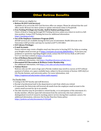# Other Retiree Benefits

All UCF retirees are eligible for:

- **Retiree ID (UCF Card Services)** Available at no cost at the UCF Card Services office on campus. Please be advised that the card office needs 48 hours for their system to update retirement status in PeopleSoft.
- **Free Parking Privileges (in Faculty, Staff & Student parking areas)** Choice of decal or hang tag through UCF Parking Services, unless you return to work in a fulltime position. Contact UCF Parking Services for additional information: [https://parking.ucf.edu/.](https://parking.ucf.edu/)
- **Use of the Employee Assistance Program (EAP)**  All EAP services are available during the first year of retirement. Health Advocate is the University's EAP provider and may be reached at (877) 240-6863.
- **UCF Library Privileges**
- **E-mail Accounts**

Future retirees may create a Knights email any time prior to leaving UCF. For help on creating your Knights email account, go to https://extranet.cst.ucf.edu/KMailSelfSvc/. If you have any problems or questions regarding Knights email, contact the UCF Service Desk at (407) 823 5117 or visit their website at [https://it.ucf.edu/.](https://it.ucf.edu/)

- **Use of Wellness Research Center** For additional information, visi[t https://healthprofessions.ucf.edu/wrc/.](https://healthprofessions.ucf.edu/wrc/)
- **Discounted UCF Recreation & Wellness Center Membership** For additional information, visi[t https://rwc.sdes.ucf.edu/memberships/.](https://rwc.sdes.ucf.edu/memberships/)
- **Tuition Waiver**

Retirees who are 60+ years of age and a Florida resident may enroll in courses at UCF without payment of tuition, on a space available basis, subject to the provisions of Section 1009.26(3) or (4), Florida Statutes, and university policy. For more information, visit [https://registrar.ucf.edu/senior-citizen-audit-request/.](https://registrar.ucf.edu/senior-citizen-audit-request/)

For Faculty Only:

- Listing in the UCF faculty and staff directory
- Receipt of professional mail in the department or unit from which you retired
- If requested, the University will forward all emails from the employee email account to the retiree email account for up to six months
- The title emeritus may be provided to retired faculty, or in anticipation of the retirement of a faculty member, effective upon full retirement from the university who have achieved a distinguished record of research, teaching and/or service during their academic careers. For additional information, reference the Faculty Emeritus Status policy: [https://policies.ucf.edu/documents/4-502.pdf.](https://policies.ucf.edu/documents/4-502.pdf)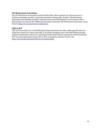#### **UCF Retirement Association**

The UCF Retirement Association promotes fellowship, offers speakers on relevant issues at luncheon meetings, provides a quarterly newsletter, among other benefits. The Retirement Association also provides members with discounts at the UCF Bookstore and Computer Store. Annual dues are only \$15.00. Additional information about the UCF Retirement Association can be found at [http://hr.ucf.edu/retired-employees/.](http://hr.ucf.edu/retired-employees/)

#### **LIFE at UCF**

LIFE at UCF provides non-credit lifelong learning experiences for older adults aged 50 and over, within the context of a major university. It is unique among the more than 400 lifelong learning institutes nationwide, in that it is a privately incorporated 501(c)3 organization that is hosted by UCF. For more information about LIFE at UCF, its programs and how to join, visit [https://hr.ucf.edu/document/life-at-ucf-membership/.](https://hr.ucf.edu/document/life-at-ucf-membership/)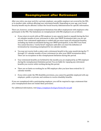# Reemployment after Retirement

After you retire, you may work for a private employer, any public employer not covered by the FRS, or in another state, without affecting your retirement benefit. Depending on your age, your Social Security benefit *may* be affected. Contact the Social Security Administration for specific information.

There are, however, certain reemployment limitations that affect employment with employers who participate in the FRS. The limitations on reemployment with FRS employers are as follows:

- If you return to work with an FRS employer in any capacity (paid or unpaid) during the first six calendar months of your retirement or after your DROP termination date, you are not retired. Your retirement application is voided and you must repay all retirement benefits, including any funds accumulated during your DROP participation, to the FRS Trust Fund. You cannot become a "newly hired" employee until after you meet the definition of termination by remaining unemployed for six calendar months.
- You may not receive both a salary and a retirement benefit in the same month during the  $7<sup>th</sup>$ through 12th calendar months of your retirement (or after your DROP termination date). There are no exceptions to this reemployment limitation during this period.
- Your retirement benefits are forfeited for the months you are employed by an FRS employer during the reemployment limitation period. You are liable for repaying any retirement benefits you receive while working during this period.
- There are no limits on working for an FRS employer after you have been retired for 12 calendar months.
- If you retire under the FRS disability provisions, you cannot be gainfully employed with any employer, public or private, and continue to receive disability benefits.

If you are reemployed with a participating employer, you will be required to sign a statement that your reemployment does not violate these provisions.

For additional information, visi[t https://employer.frs.fl.gov/forms/frs-tar.pdf.](https://employer.frs.fl.gov/forms/frs-tar.pdf)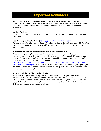# Important Reminders

#### **Special Life Insurance provisions for Total Disability: Waiver of Premium**

Securian Financial may waive premiums if you are disabled before age 60. If you become disabled, call Securian Financial @ 888.826.2756 for more information on the Waiver of Premium Provisions.

#### **Mailing Address**

Keep your mailing address up to date in People First to receive Open Enrollment materials and other information timely.

#### **Use the People First Website [\(https://peoplefirst.myflorida.com\)](https://peoplefirst.myflorida.com/)**

To see your benefits information in People First, log in and go to Health & Insurance > My Benefits. To see your premium payments, go to Health & Insurance > Benefit Premium History and select the applicable month.

#### **Authorization to Disclose Protected Health Information (PHI)**

If you want to give People First or your insurance company permission to disclose PHI to an individual, you must submit an authorization form to each party. For example, if you want your spouse to be able to call People First to discuss your monthly premiums, you must send People First an authorization form (which can be found here:

[https://www.mybenefits.myflorida.com/content/download/129824/806668/Authorization\\_for\\_](https://www.mybenefits.myflorida.com/content/download/129824/806668/Authorization_for_Release_of_Information.pdf) Release of Information.pdf). Otherwise, representatives will be unable to talk to your spouse per Health Insurance Portability and Accountability Act of 1996 (HIPAA) guidelines. Call People First or your insurance company for more information.

#### **Required Minimum Distribution (RMD)**

Once you reach age 72, you are required by the IRS to take annual Required Minimum Distributions (RMDs) from your retirement accounts each year. This requirement applies to the SUSORP (State University System Optional Retirement Program), 457, and UCF 403(b) retirement plans. RMD is calculated separately for each retirement account owned. For details regarding RMD, contact your financial planner or advisor.